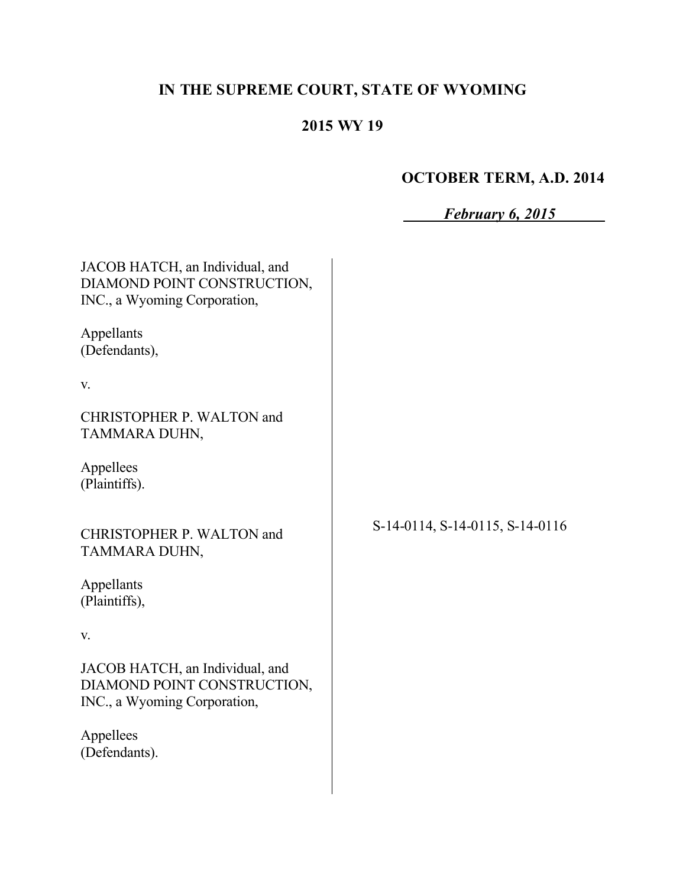# **IN THE SUPREME COURT, STATE OF WYOMING**

# **2015 WY 19**

# **OCTOBER TERM, A.D. 2014**

| February 6, 2015 |  |
|------------------|--|
|                  |  |

| JACOB HATCH, an Individual, and<br>DIAMOND POINT CONSTRUCTION,<br>INC., a Wyoming Corporation, |                                 |
|------------------------------------------------------------------------------------------------|---------------------------------|
| Appellants<br>(Defendants),                                                                    |                                 |
| V.                                                                                             |                                 |
| CHRISTOPHER P. WALTON and<br>TAMMARA DUHN,                                                     |                                 |
| Appellees<br>(Plaintiffs).                                                                     |                                 |
| CHRISTOPHER P. WALTON and<br>TAMMARA DUHN,                                                     | S-14-0114, S-14-0115, S-14-0116 |
| Appellants<br>(Plaintiffs),                                                                    |                                 |
| V.                                                                                             |                                 |
| JACOB HATCH, an Individual, and<br>DIAMOND POINT CONSTRUCTION,<br>INC., a Wyoming Corporation, |                                 |
| Appellees<br>(Defendants).                                                                     |                                 |
|                                                                                                |                                 |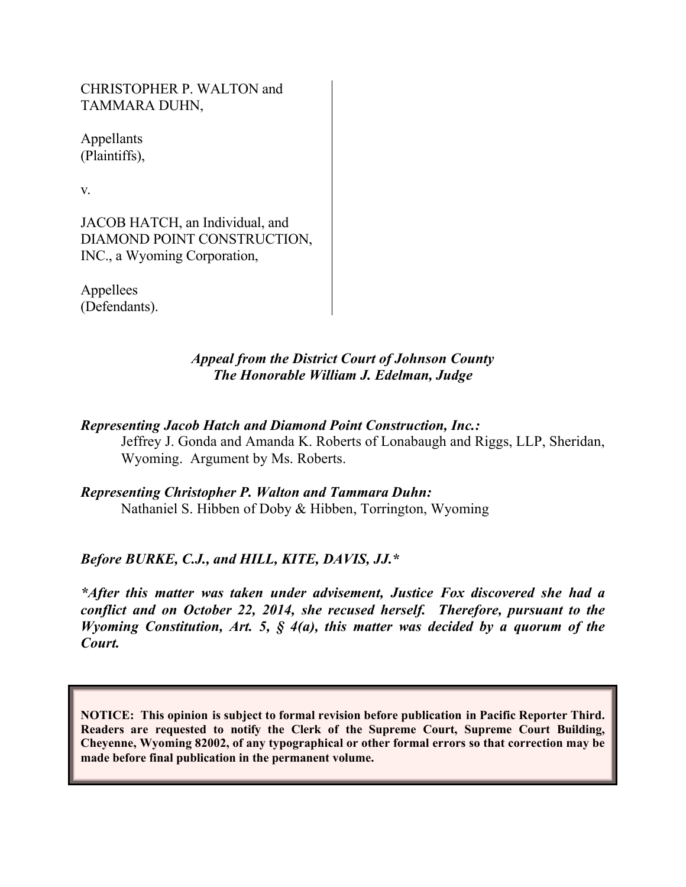CHRISTOPHER P. WALTON and TAMMARA DUHN,

Appellants (Plaintiffs),

v.

JACOB HATCH, an Individual, and DIAMOND POINT CONSTRUCTION, INC., a Wyoming Corporation,

Appellees (Defendants).

### *Appeal from the District Court of Johnson County The Honorable William J. Edelman, Judge*

# *Representing Jacob Hatch and Diamond Point Construction, Inc.:*

Jeffrey J. Gonda and Amanda K. Roberts of Lonabaugh and Riggs, LLP, Sheridan, Wyoming. Argument by Ms. Roberts.

## *Representing Christopher P. Walton and Tammara Duhn:* Nathaniel S. Hibben of Doby & Hibben, Torrington, Wyoming

# *Before BURKE, C.J., and HILL, KITE, DAVIS, JJ.\**

*\*After this matter was taken under advisement, Justice Fox discovered she had a conflict and on October 22, 2014, she recused herself. Therefore, pursuant to the Wyoming Constitution, Art. 5, § 4(a), this matter was decided by a quorum of the Court.*

**NOTICE: This opinion is subject to formal revision before publication in Pacific Reporter Third. Readers are requested to notify the Clerk of the Supreme Court, Supreme Court Building, Cheyenne, Wyoming 82002, of any typographical or other formal errors so that correction may be made before final publication in the permanent volume.**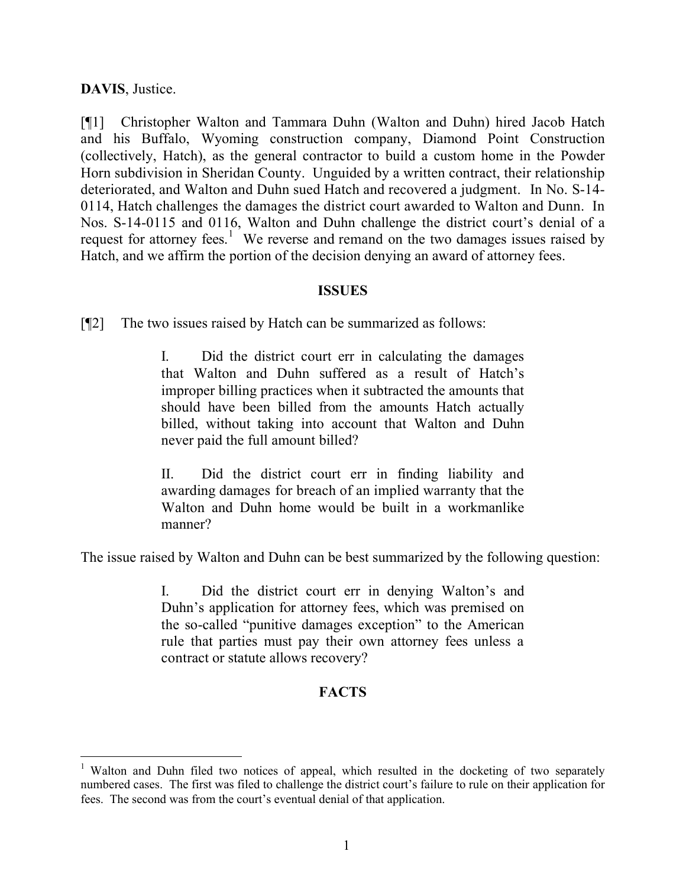### **DAVIS**, Justice.

[¶1] Christopher Walton and Tammara Duhn (Walton and Duhn) hired Jacob Hatch and his Buffalo, Wyoming construction company, Diamond Point Construction (collectively, Hatch), as the general contractor to build a custom home in the Powder Horn subdivision in Sheridan County. Unguided by a written contract, their relationship deteriorated, and Walton and Duhn sued Hatch and recovered a judgment. In No. S-14- 0114, Hatch challenges the damages the district court awarded to Walton and Dunn. In Nos. S-14-0115 and 0116, Walton and Duhn challenge the district court's denial of a request for attorney fees.<sup>1</sup> We reverse and remand on the two damages issues raised by Hatch, and we affirm the portion of the decision denying an award of attorney fees.

#### **ISSUES**

[¶2] The two issues raised by Hatch can be summarized as follows:

I. Did the district court err in calculating the damages that Walton and Duhn suffered as a result of Hatch's improper billing practices when it subtracted the amounts that should have been billed from the amounts Hatch actually billed, without taking into account that Walton and Duhn never paid the full amount billed?

II. Did the district court err in finding liability and awarding damages for breach of an implied warranty that the Walton and Duhn home would be built in a workmanlike manner?

The issue raised by Walton and Duhn can be best summarized by the following question:

I. Did the district court err in denying Walton's and Duhn's application for attorney fees, which was premised on the so-called "punitive damages exception" to the American rule that parties must pay their own attorney fees unless a contract or statute allows recovery?

## **FACTS**

<sup>&</sup>lt;sup>1</sup> Walton and Duhn filed two notices of appeal, which resulted in the docketing of two separately numbered cases. The first was filed to challenge the district court's failure to rule on their application for fees. The second was from the court's eventual denial of that application.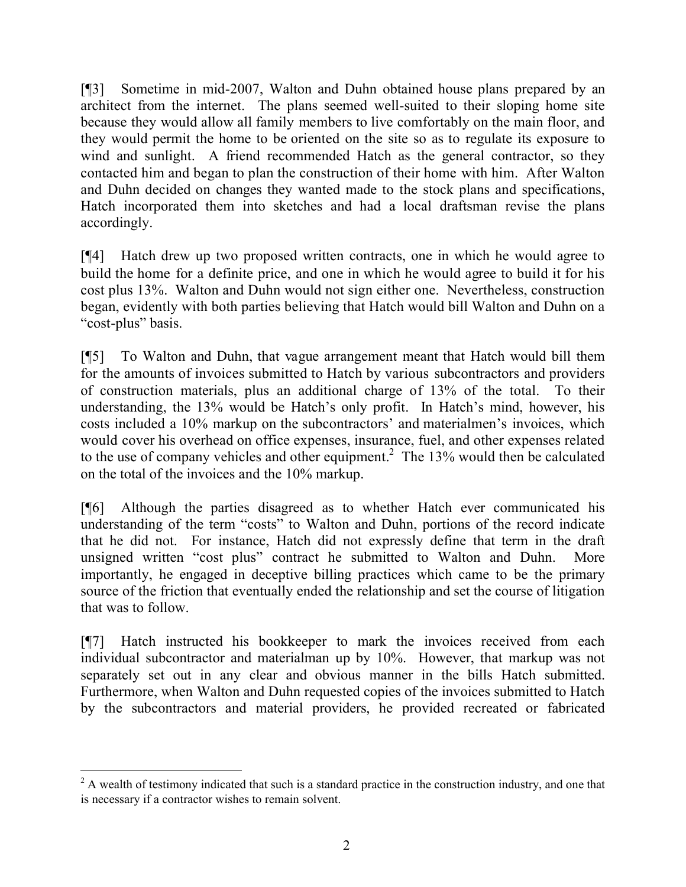[¶3] Sometime in mid-2007, Walton and Duhn obtained house plans prepared by an architect from the internet. The plans seemed well-suited to their sloping home site because they would allow all family members to live comfortably on the main floor, and they would permit the home to be oriented on the site so as to regulate its exposure to wind and sunlight. A friend recommended Hatch as the general contractor, so they contacted him and began to plan the construction of their home with him. After Walton and Duhn decided on changes they wanted made to the stock plans and specifications, Hatch incorporated them into sketches and had a local draftsman revise the plans accordingly.

[¶4] Hatch drew up two proposed written contracts, one in which he would agree to build the home for a definite price, and one in which he would agree to build it for his cost plus 13%. Walton and Duhn would not sign either one. Nevertheless, construction began, evidently with both parties believing that Hatch would bill Walton and Duhn on a "cost-plus" basis.

[¶5] To Walton and Duhn, that vague arrangement meant that Hatch would bill them for the amounts of invoices submitted to Hatch by various subcontractors and providers of construction materials, plus an additional charge of 13% of the total. To their understanding, the 13% would be Hatch's only profit. In Hatch's mind, however, his costs included a 10% markup on the subcontractors' and materialmen's invoices, which would cover his overhead on office expenses, insurance, fuel, and other expenses related to the use of company vehicles and other equipment.<sup>2</sup> The  $13\%$  would then be calculated on the total of the invoices and the 10% markup.

[¶6] Although the parties disagreed as to whether Hatch ever communicated his understanding of the term "costs" to Walton and Duhn, portions of the record indicate that he did not. For instance, Hatch did not expressly define that term in the draft unsigned written "cost plus" contract he submitted to Walton and Duhn. More importantly, he engaged in deceptive billing practices which came to be the primary source of the friction that eventually ended the relationship and set the course of litigation that was to follow.

[¶7] Hatch instructed his bookkeeper to mark the invoices received from each individual subcontractor and materialman up by 10%. However, that markup was not separately set out in any clear and obvious manner in the bills Hatch submitted. Furthermore, when Walton and Duhn requested copies of the invoices submitted to Hatch by the subcontractors and material providers, he provided recreated or fabricated

<sup>&</sup>lt;sup>2</sup> A wealth of testimony indicated that such is a standard practice in the construction industry, and one that is necessary if a contractor wishes to remain solvent.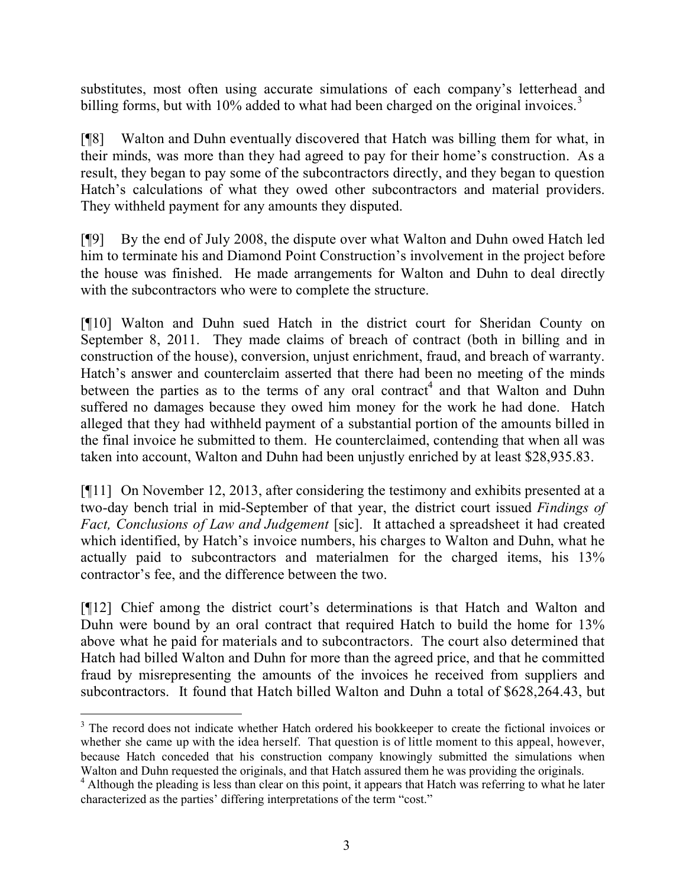substitutes, most often using accurate simulations of each company's letterhead and billing forms, but with 10% added to what had been charged on the original invoices.<sup>3</sup>

[¶8] Walton and Duhn eventually discovered that Hatch was billing them for what, in their minds, was more than they had agreed to pay for their home's construction. As a result, they began to pay some of the subcontractors directly, and they began to question Hatch's calculations of what they owed other subcontractors and material providers. They withheld payment for any amounts they disputed.

[¶9] By the end of July 2008, the dispute over what Walton and Duhn owed Hatch led him to terminate his and Diamond Point Construction's involvement in the project before the house was finished. He made arrangements for Walton and Duhn to deal directly with the subcontractors who were to complete the structure.

[¶10] Walton and Duhn sued Hatch in the district court for Sheridan County on September 8, 2011. They made claims of breach of contract (both in billing and in construction of the house), conversion, unjust enrichment, fraud, and breach of warranty. Hatch's answer and counterclaim asserted that there had been no meeting of the minds between the parties as to the terms of any oral contract<sup>4</sup> and that Walton and Duhn suffered no damages because they owed him money for the work he had done. Hatch alleged that they had withheld payment of a substantial portion of the amounts billed in the final invoice he submitted to them. He counterclaimed, contending that when all was taken into account, Walton and Duhn had been unjustly enriched by at least \$28,935.83.

[¶11] On November 12, 2013, after considering the testimony and exhibits presented at a two-day bench trial in mid-September of that year, the district court issued *Findings of Fact, Conclusions of Law and Judgement* [sic]. It attached a spreadsheet it had created which identified, by Hatch's invoice numbers, his charges to Walton and Duhn, what he actually paid to subcontractors and materialmen for the charged items, his 13% contractor's fee, and the difference between the two.

[¶12] Chief among the district court's determinations is that Hatch and Walton and Duhn were bound by an oral contract that required Hatch to build the home for 13% above what he paid for materials and to subcontractors. The court also determined that Hatch had billed Walton and Duhn for more than the agreed price, and that he committed fraud by misrepresenting the amounts of the invoices he received from suppliers and subcontractors. It found that Hatch billed Walton and Duhn a total of \$628,264.43, but

 $\overline{a}$ <sup>3</sup> The record does not indicate whether Hatch ordered his bookkeeper to create the fictional invoices or whether she came up with the idea herself. That question is of little moment to this appeal, however, because Hatch conceded that his construction company knowingly submitted the simulations when Walton and Duhn requested the originals, and that Hatch assured them he was providing the originals.

<sup>&</sup>lt;sup>4</sup> Although the pleading is less than clear on this point, it appears that Hatch was referring to what he later characterized as the parties' differing interpretations of the term "cost."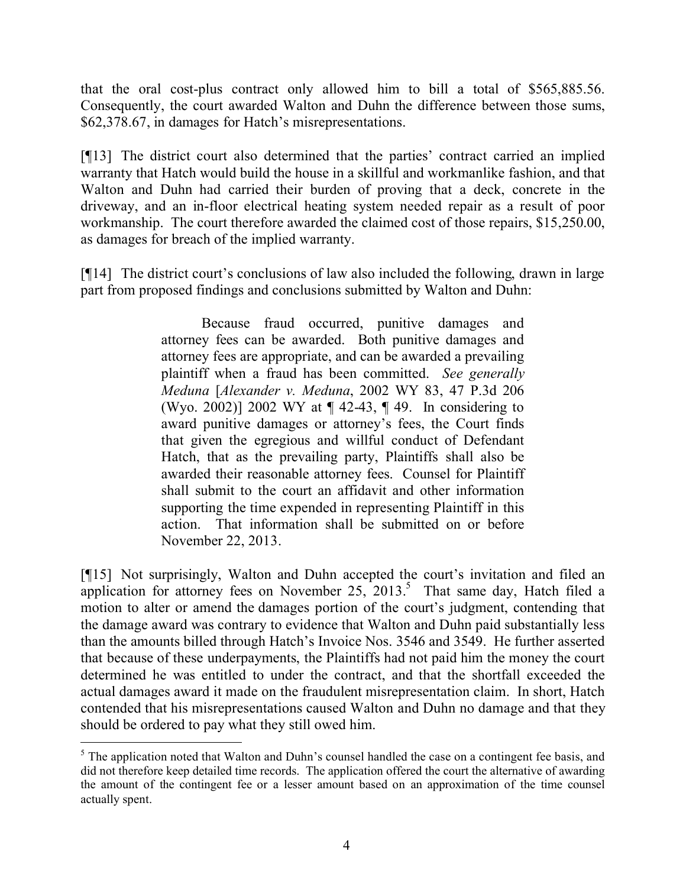that the oral cost-plus contract only allowed him to bill a total of \$565,885.56. Consequently, the court awarded Walton and Duhn the difference between those sums, \$62,378.67, in damages for Hatch's misrepresentations.

[¶13] The district court also determined that the parties' contract carried an implied warranty that Hatch would build the house in a skillful and workmanlike fashion, and that Walton and Duhn had carried their burden of proving that a deck, concrete in the driveway, and an in-floor electrical heating system needed repair as a result of poor workmanship. The court therefore awarded the claimed cost of those repairs, \$15,250.00, as damages for breach of the implied warranty.

[¶14] The district court's conclusions of law also included the following, drawn in large part from proposed findings and conclusions submitted by Walton and Duhn:

> Because fraud occurred, punitive damages and attorney fees can be awarded. Both punitive damages and attorney fees are appropriate, and can be awarded a prevailing plaintiff when a fraud has been committed. *See generally Meduna* [*Alexander v. Meduna*, 2002 WY 83, 47 P.3d 206 (Wyo. 2002)] 2002 WY at ¶ 42-43, ¶ 49. In considering to award punitive damages or attorney's fees, the Court finds that given the egregious and willful conduct of Defendant Hatch, that as the prevailing party, Plaintiffs shall also be awarded their reasonable attorney fees. Counsel for Plaintiff shall submit to the court an affidavit and other information supporting the time expended in representing Plaintiff in this action. That information shall be submitted on or before November 22, 2013.

[¶15] Not surprisingly, Walton and Duhn accepted the court's invitation and filed an application for attorney fees on November  $25, 2013$ .<sup>5</sup> That same day, Hatch filed a motion to alter or amend the damages portion of the court's judgment, contending that the damage award was contrary to evidence that Walton and Duhn paid substantially less than the amounts billed through Hatch's Invoice Nos. 3546 and 3549. He further asserted that because of these underpayments, the Plaintiffs had not paid him the money the court determined he was entitled to under the contract, and that the shortfall exceeded the actual damages award it made on the fraudulent misrepresentation claim. In short, Hatch contended that his misrepresentations caused Walton and Duhn no damage and that they should be ordered to pay what they still owed him.

 $\overline{a}$ 

<sup>&</sup>lt;sup>5</sup> The application noted that Walton and Duhn's counsel handled the case on a contingent fee basis, and did not therefore keep detailed time records. The application offered the court the alternative of awarding the amount of the contingent fee or a lesser amount based on an approximation of the time counsel actually spent.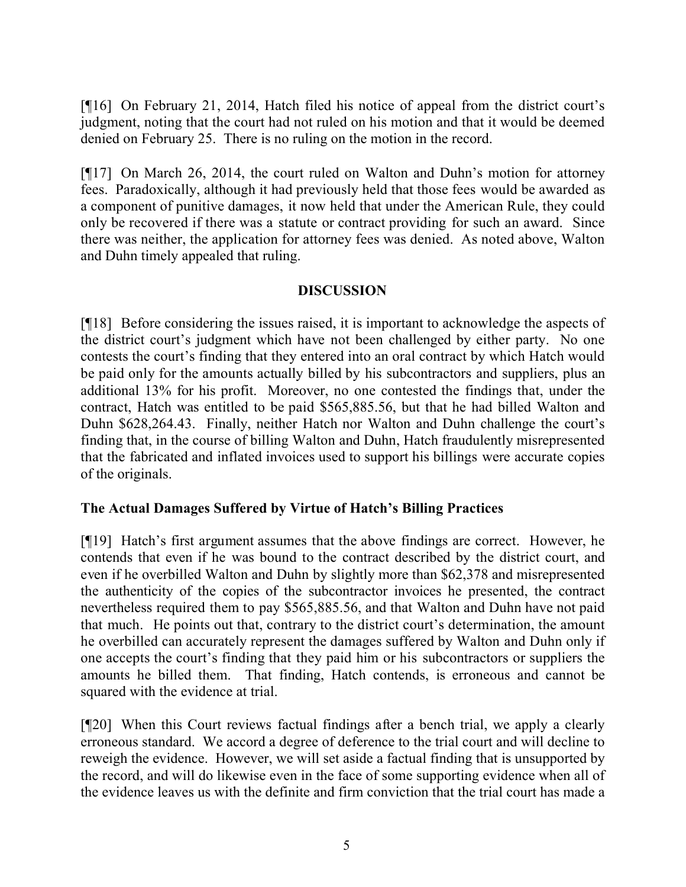[¶16] On February 21, 2014, Hatch filed his notice of appeal from the district court's judgment, noting that the court had not ruled on his motion and that it would be deemed denied on February 25. There is no ruling on the motion in the record.

[¶17] On March 26, 2014, the court ruled on Walton and Duhn's motion for attorney fees. Paradoxically, although it had previously held that those fees would be awarded as a component of punitive damages, it now held that under the American Rule, they could only be recovered if there was a statute or contract providing for such an award. Since there was neither, the application for attorney fees was denied. As noted above, Walton and Duhn timely appealed that ruling.

## **DISCUSSION**

[¶18] Before considering the issues raised, it is important to acknowledge the aspects of the district court's judgment which have not been challenged by either party. No one contests the court's finding that they entered into an oral contract by which Hatch would be paid only for the amounts actually billed by his subcontractors and suppliers, plus an additional 13% for his profit. Moreover, no one contested the findings that, under the contract, Hatch was entitled to be paid \$565,885.56, but that he had billed Walton and Duhn \$628,264.43. Finally, neither Hatch nor Walton and Duhn challenge the court's finding that, in the course of billing Walton and Duhn, Hatch fraudulently misrepresented that the fabricated and inflated invoices used to support his billings were accurate copies of the originals.

## **The Actual Damages Suffered by Virtue of Hatch's Billing Practices**

[¶19] Hatch's first argument assumes that the above findings are correct. However, he contends that even if he was bound to the contract described by the district court, and even if he overbilled Walton and Duhn by slightly more than \$62,378 and misrepresented the authenticity of the copies of the subcontractor invoices he presented, the contract nevertheless required them to pay \$565,885.56, and that Walton and Duhn have not paid that much. He points out that, contrary to the district court's determination, the amount he overbilled can accurately represent the damages suffered by Walton and Duhn only if one accepts the court's finding that they paid him or his subcontractors or suppliers the amounts he billed them. That finding, Hatch contends, is erroneous and cannot be squared with the evidence at trial.

[¶20] When this Court reviews factual findings after a bench trial, we apply a clearly erroneous standard. We accord a degree of deference to the trial court and will decline to reweigh the evidence. However, we will set aside a factual finding that is unsupported by the record, and will do likewise even in the face of some supporting evidence when all of the evidence leaves us with the definite and firm conviction that the trial court has made a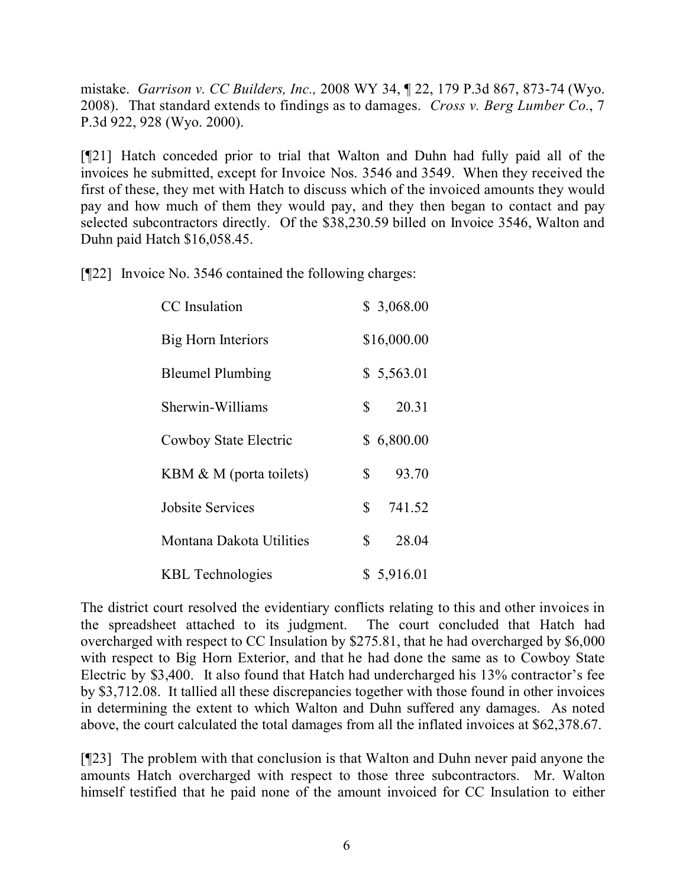mistake. *Garrison v. CC Builders, Inc.,* 2008 WY 34, ¶ 22, 179 P.3d 867, 873-74 (Wyo. 2008). That standard extends to findings as to damages. *Cross v. Berg Lumber Co.*, 7 P.3d 922, 928 (Wyo. 2000).

[¶21] Hatch conceded prior to trial that Walton and Duhn had fully paid all of the invoices he submitted, except for Invoice Nos. 3546 and 3549. When they received the first of these, they met with Hatch to discuss which of the invoiced amounts they would pay and how much of them they would pay, and they then began to contact and pay selected subcontractors directly. Of the \$38,230.59 billed on Invoice 3546, Walton and Duhn paid Hatch \$16,058.45.

[¶22] Invoice No. 3546 contained the following charges:

| <b>CC</b> Insulation      | \$3,068.00               |
|---------------------------|--------------------------|
| <b>Big Horn Interiors</b> | \$16,000.00              |
| <b>Bleumel Plumbing</b>   | \$5,563.01               |
| Sherwin-Williams          | $\mathbb{S}$<br>20.31    |
| Cowboy State Electric     | \$6,800.00               |
| KBM & M (porta toilets)   | 93.70<br>\$              |
| <b>Jobsite Services</b>   | 741.52<br>$\mathbb{S}^-$ |
| Montana Dakota Utilities  | \$<br>28.04              |
| <b>KBL</b> Technologies   | \$5,916.01               |

The district court resolved the evidentiary conflicts relating to this and other invoices in the spreadsheet attached to its judgment. The court concluded that Hatch had overcharged with respect to CC Insulation by \$275.81, that he had overcharged by \$6,000 with respect to Big Horn Exterior, and that he had done the same as to Cowboy State Electric by \$3,400. It also found that Hatch had undercharged his 13% contractor's fee by \$3,712.08. It tallied all these discrepancies together with those found in other invoices in determining the extent to which Walton and Duhn suffered any damages. As noted above, the court calculated the total damages from all the inflated invoices at \$62,378.67.

[¶23] The problem with that conclusion is that Walton and Duhn never paid anyone the amounts Hatch overcharged with respect to those three subcontractors. Mr. Walton himself testified that he paid none of the amount invoiced for CC Insulation to either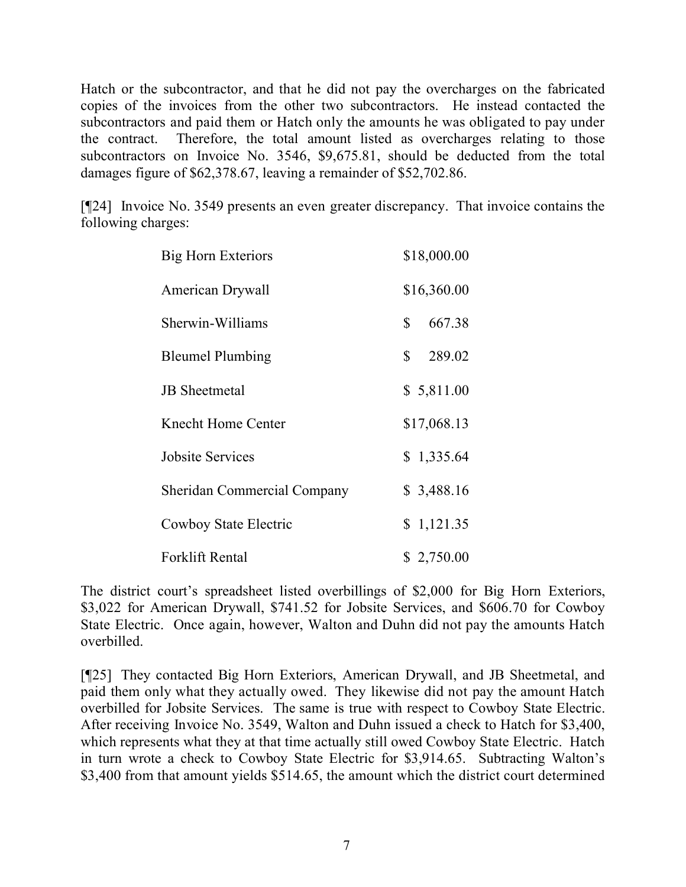Hatch or the subcontractor, and that he did not pay the overcharges on the fabricated copies of the invoices from the other two subcontractors. He instead contacted the subcontractors and paid them or Hatch only the amounts he was obligated to pay under the contract. Therefore, the total amount listed as overcharges relating to those subcontractors on Invoice No. 3546, \$9,675.81, should be deducted from the total damages figure of \$62,378.67, leaving a remainder of \$52,702.86.

[¶24] Invoice No. 3549 presents an even greater discrepancy. That invoice contains the following charges:

| <b>Big Horn Exteriors</b>          | \$18,000.00              |
|------------------------------------|--------------------------|
| American Drywall                   | \$16,360.00              |
| Sherwin-Williams                   | $\mathbb{S}^-$<br>667.38 |
| <b>Bleumel Plumbing</b>            | $\mathbb{S}$<br>289.02   |
| <b>JB</b> Sheetmetal               | \$5,811.00               |
| Knecht Home Center                 | \$17,068.13              |
| <b>Jobsite Services</b>            | \$1,335.64               |
| <b>Sheridan Commercial Company</b> | \$3,488.16               |
| Cowboy State Electric              | \$1,121.35               |
| Forklift Rental                    | \$2,750.00               |

The district court's spreadsheet listed overbillings of \$2,000 for Big Horn Exteriors, \$3,022 for American Drywall, \$741.52 for Jobsite Services, and \$606.70 for Cowboy State Electric. Once again, however, Walton and Duhn did not pay the amounts Hatch overbilled.

[¶25] They contacted Big Horn Exteriors, American Drywall, and JB Sheetmetal, and paid them only what they actually owed. They likewise did not pay the amount Hatch overbilled for Jobsite Services. The same is true with respect to Cowboy State Electric. After receiving Invoice No. 3549, Walton and Duhn issued a check to Hatch for \$3,400, which represents what they at that time actually still owed Cowboy State Electric. Hatch in turn wrote a check to Cowboy State Electric for \$3,914.65. Subtracting Walton's \$3,400 from that amount yields \$514.65, the amount which the district court determined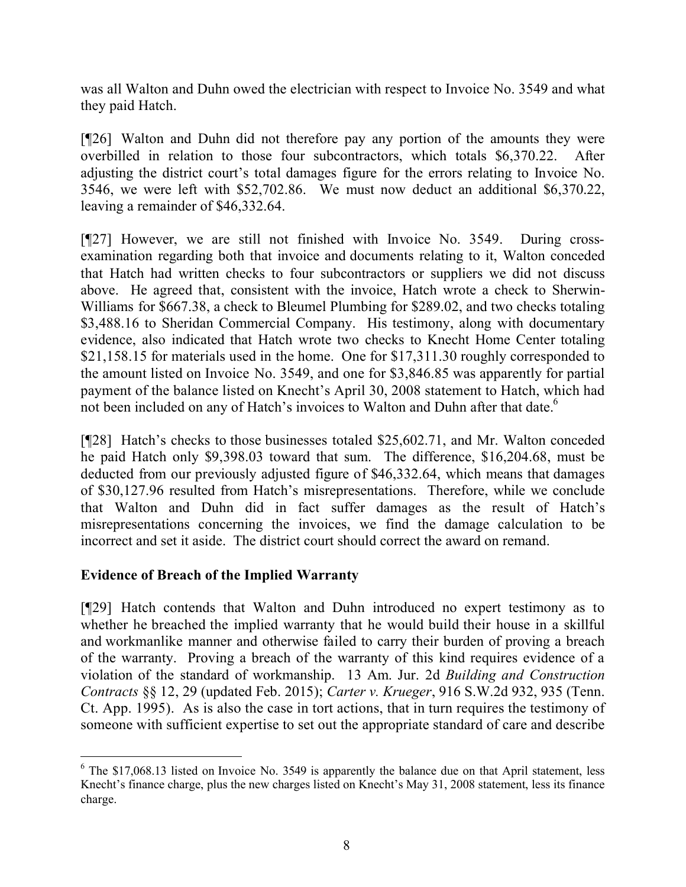was all Walton and Duhn owed the electrician with respect to Invoice No. 3549 and what they paid Hatch.

[¶26] Walton and Duhn did not therefore pay any portion of the amounts they were overbilled in relation to those four subcontractors, which totals \$6,370.22. After adjusting the district court's total damages figure for the errors relating to Invoice No. 3546, we were left with \$52,702.86. We must now deduct an additional \$6,370.22, leaving a remainder of \$46,332.64.

[¶27] However, we are still not finished with Invoice No. 3549. During crossexamination regarding both that invoice and documents relating to it, Walton conceded that Hatch had written checks to four subcontractors or suppliers we did not discuss above. He agreed that, consistent with the invoice, Hatch wrote a check to Sherwin-Williams for \$667.38, a check to Bleumel Plumbing for \$289.02, and two checks totaling \$3,488.16 to Sheridan Commercial Company. His testimony, along with documentary evidence, also indicated that Hatch wrote two checks to Knecht Home Center totaling \$21,158.15 for materials used in the home. One for \$17,311.30 roughly corresponded to the amount listed on Invoice No. 3549, and one for \$3,846.85 was apparently for partial payment of the balance listed on Knecht's April 30, 2008 statement to Hatch, which had not been included on any of Hatch's invoices to Walton and Duhn after that date.<sup>6</sup>

[¶28] Hatch's checks to those businesses totaled \$25,602.71, and Mr. Walton conceded he paid Hatch only \$9,398.03 toward that sum. The difference, \$16,204.68, must be deducted from our previously adjusted figure of \$46,332.64, which means that damages of \$30,127.96 resulted from Hatch's misrepresentations. Therefore, while we conclude that Walton and Duhn did in fact suffer damages as the result of Hatch's misrepresentations concerning the invoices, we find the damage calculation to be incorrect and set it aside. The district court should correct the award on remand.

## **Evidence of Breach of the Implied Warranty**

[¶29] Hatch contends that Walton and Duhn introduced no expert testimony as to whether he breached the implied warranty that he would build their house in a skillful and workmanlike manner and otherwise failed to carry their burden of proving a breach of the warranty. Proving a breach of the warranty of this kind requires evidence of a violation of the standard of workmanship. 13 Am. Jur. 2d *Building and Construction Contracts* §§ 12, 29 (updated Feb. 2015); *Carter v. Krueger*, 916 S.W.2d 932, 935 (Tenn. Ct. App. 1995). As is also the case in tort actions, that in turn requires the testimony of someone with sufficient expertise to set out the appropriate standard of care and describe

<sup>6</sup> The \$17,068.13 listed on Invoice No. 3549 is apparently the balance due on that April statement, less Knecht's finance charge, plus the new charges listed on Knecht's May 31, 2008 statement, less its finance charge.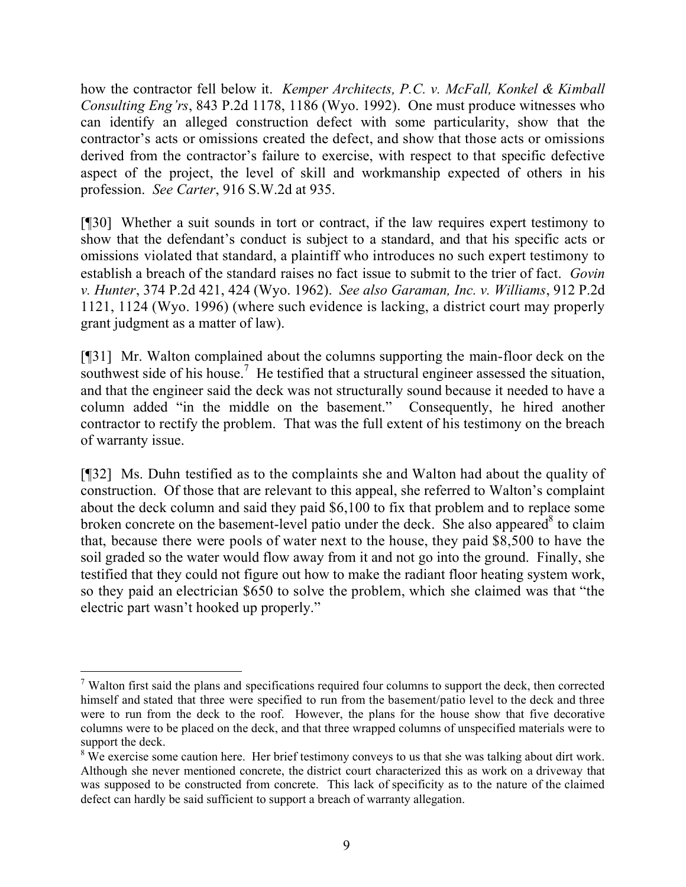how the contractor fell below it. *Kemper Architects, P.C. v. McFall, Konkel & Kimball Consulting Eng'rs*, 843 P.2d 1178, 1186 (Wyo. 1992). One must produce witnesses who can identify an alleged construction defect with some particularity, show that the contractor's acts or omissions created the defect, and show that those acts or omissions derived from the contractor's failure to exercise, with respect to that specific defective aspect of the project, the level of skill and workmanship expected of others in his profession. *See Carter*, 916 S.W.2d at 935.

[¶30] Whether a suit sounds in tort or contract, if the law requires expert testimony to show that the defendant's conduct is subject to a standard, and that his specific acts or omissions violated that standard, a plaintiff who introduces no such expert testimony to establish a breach of the standard raises no fact issue to submit to the trier of fact. *Govin v. Hunter*, 374 P.2d 421, 424 (Wyo. 1962). *See also Garaman, Inc. v. Williams*, 912 P.2d 1121, 1124 (Wyo. 1996) (where such evidence is lacking, a district court may properly grant judgment as a matter of law).

[¶31] Mr. Walton complained about the columns supporting the main-floor deck on the southwest side of his house.<sup>7</sup> He testified that a structural engineer assessed the situation, and that the engineer said the deck was not structurally sound because it needed to have a column added "in the middle on the basement." Consequently, he hired another contractor to rectify the problem. That was the full extent of his testimony on the breach of warranty issue.

[¶32] Ms. Duhn testified as to the complaints she and Walton had about the quality of construction. Of those that are relevant to this appeal, she referred to Walton's complaint about the deck column and said they paid \$6,100 to fix that problem and to replace some broken concrete on the basement-level patio under the deck. She also appeared  $\delta$  to claim that, because there were pools of water next to the house, they paid \$8,500 to have the soil graded so the water would flow away from it and not go into the ground. Finally, she testified that they could not figure out how to make the radiant floor heating system work, so they paid an electrician \$650 to solve the problem, which she claimed was that "the electric part wasn't hooked up properly."

 $\overline{a}$ <sup>7</sup> Walton first said the plans and specifications required four columns to support the deck, then corrected himself and stated that three were specified to run from the basement/patio level to the deck and three were to run from the deck to the roof. However, the plans for the house show that five decorative columns were to be placed on the deck, and that three wrapped columns of unspecified materials were to support the deck.

<sup>&</sup>lt;sup>8</sup> We exercise some caution here. Her brief testimony conveys to us that she was talking about dirt work. Although she never mentioned concrete, the district court characterized this as work on a driveway that was supposed to be constructed from concrete. This lack of specificity as to the nature of the claimed defect can hardly be said sufficient to support a breach of warranty allegation.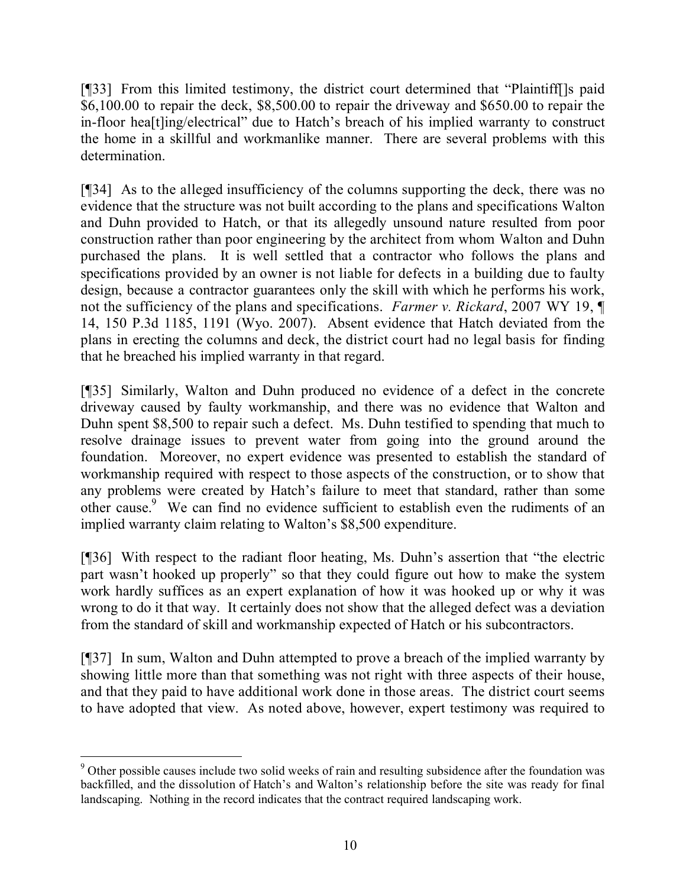[¶33] From this limited testimony, the district court determined that "Plaintiff[]s paid \$6,100.00 to repair the deck, \$8,500.00 to repair the driveway and \$650.00 to repair the in-floor hea[t]ing/electrical" due to Hatch's breach of his implied warranty to construct the home in a skillful and workmanlike manner. There are several problems with this determination.

[¶34] As to the alleged insufficiency of the columns supporting the deck, there was no evidence that the structure was not built according to the plans and specifications Walton and Duhn provided to Hatch, or that its allegedly unsound nature resulted from poor construction rather than poor engineering by the architect from whom Walton and Duhn purchased the plans. It is well settled that a contractor who follows the plans and specifications provided by an owner is not liable for defects in a building due to faulty design, because a contractor guarantees only the skill with which he performs his work, not the sufficiency of the plans and specifications. *Farmer v. Rickard*, 2007 WY 19, ¶ 14, 150 P.3d 1185, 1191 (Wyo. 2007). Absent evidence that Hatch deviated from the plans in erecting the columns and deck, the district court had no legal basis for finding that he breached his implied warranty in that regard.

[¶35] Similarly, Walton and Duhn produced no evidence of a defect in the concrete driveway caused by faulty workmanship, and there was no evidence that Walton and Duhn spent \$8,500 to repair such a defect. Ms. Duhn testified to spending that much to resolve drainage issues to prevent water from going into the ground around the foundation. Moreover, no expert evidence was presented to establish the standard of workmanship required with respect to those aspects of the construction, or to show that any problems were created by Hatch's failure to meet that standard, rather than some other cause. 9 We can find no evidence sufficient to establish even the rudiments of an implied warranty claim relating to Walton's \$8,500 expenditure.

[¶36] With respect to the radiant floor heating, Ms. Duhn's assertion that "the electric part wasn't hooked up properly" so that they could figure out how to make the system work hardly suffices as an expert explanation of how it was hooked up or why it was wrong to do it that way. It certainly does not show that the alleged defect was a deviation from the standard of skill and workmanship expected of Hatch or his subcontractors.

[¶37] In sum, Walton and Duhn attempted to prove a breach of the implied warranty by showing little more than that something was not right with three aspects of their house, and that they paid to have additional work done in those areas. The district court seems to have adopted that view. As noted above, however, expert testimony was required to

 <sup>9</sup> Other possible causes include two solid weeks of rain and resulting subsidence after the foundation was backfilled, and the dissolution of Hatch's and Walton's relationship before the site was ready for final landscaping. Nothing in the record indicates that the contract required landscaping work.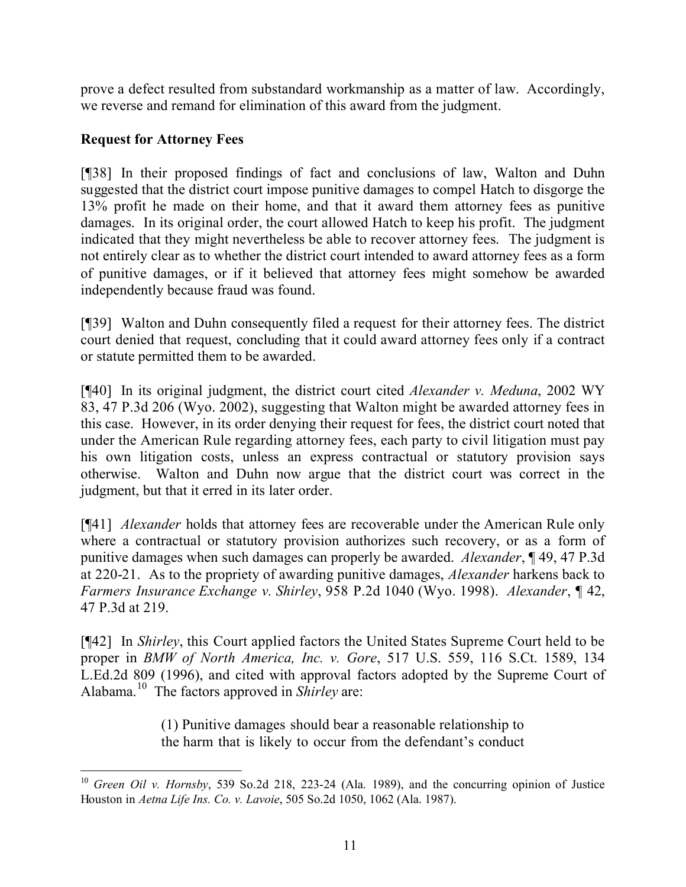prove a defect resulted from substandard workmanship as a matter of law. Accordingly, we reverse and remand for elimination of this award from the judgment.

# **Request for Attorney Fees**

[¶38] In their proposed findings of fact and conclusions of law, Walton and Duhn suggested that the district court impose punitive damages to compel Hatch to disgorge the 13% profit he made on their home, and that it award them attorney fees as punitive damages. In its original order, the court allowed Hatch to keep his profit. The judgment indicated that they might nevertheless be able to recover attorney fees. The judgment is not entirely clear as to whether the district court intended to award attorney fees as a form of punitive damages, or if it believed that attorney fees might somehow be awarded independently because fraud was found.

[¶39] Walton and Duhn consequently filed a request for their attorney fees. The district court denied that request, concluding that it could award attorney fees only if a contract or statute permitted them to be awarded.

[¶40] In its original judgment, the district court cited *Alexander v. Meduna*, 2002 WY 83, 47 P.3d 206 (Wyo. 2002), suggesting that Walton might be awarded attorney fees in this case. However, in its order denying their request for fees, the district court noted that under the American Rule regarding attorney fees, each party to civil litigation must pay his own litigation costs, unless an express contractual or statutory provision says otherwise. Walton and Duhn now argue that the district court was correct in the judgment, but that it erred in its later order.

[¶41] *Alexander* holds that attorney fees are recoverable under the American Rule only where a contractual or statutory provision authorizes such recovery, or as a form of punitive damages when such damages can properly be awarded. *Alexander*, ¶ 49, 47 P.3d at 220-21. As to the propriety of awarding punitive damages, *Alexander* harkens back to *Farmers Insurance Exchange v. Shirley*, 958 P.2d 1040 (Wyo. 1998). *Alexander*, ¶ 42, 47 P.3d at 219.

[¶42] In *Shirley*, this Court applied factors the United States Supreme Court held to be proper in *BMW of North America, Inc. v. Gore*, 517 U.S. 559, 116 S.Ct. 1589, 134 L.Ed.2d 809 (1996), and cited with approval factors adopted by the Supreme Court of Alabama. 10 The factors approved in *Shirley* are:

> (1) Punitive damages should bear a reasonable relationship to the harm that is likely to occur from the defendant's conduct

 <sup>10</sup> *Green Oil v. Hornsby*, 539 So.2d 218, 223-24 (Ala. 1989), and the concurring opinion of Justice Houston in *Aetna Life Ins. Co. v. Lavoie*, 505 So.2d 1050, 1062 (Ala. 1987).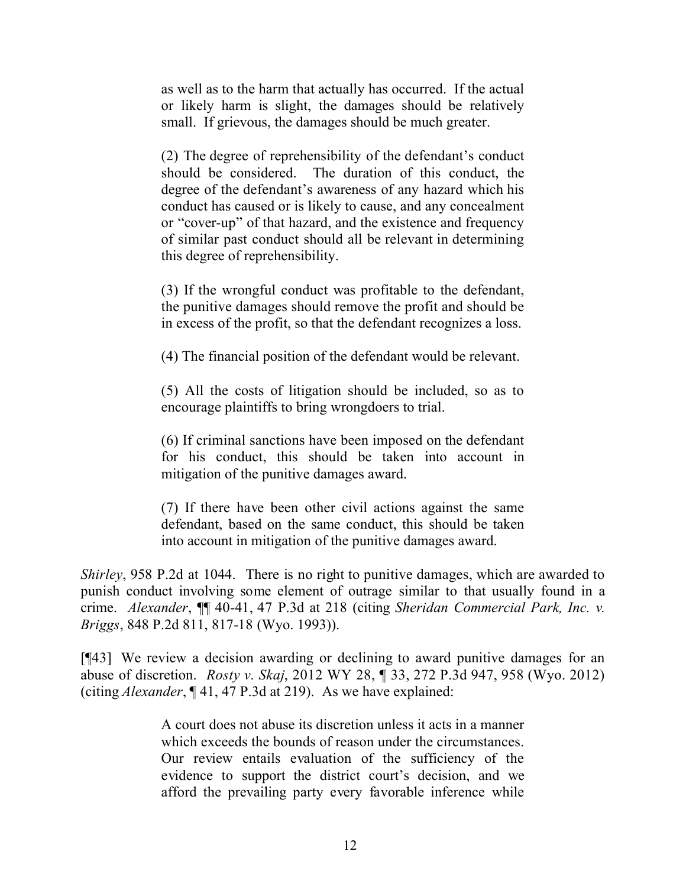as well as to the harm that actually has occurred. If the actual or likely harm is slight, the damages should be relatively small. If grievous, the damages should be much greater.

(2) The degree of reprehensibility of the defendant's conduct should be considered. The duration of this conduct, the degree of the defendant's awareness of any hazard which his conduct has caused or is likely to cause, and any concealment or "cover-up" of that hazard, and the existence and frequency of similar past conduct should all be relevant in determining this degree of reprehensibility.

(3) If the wrongful conduct was profitable to the defendant, the punitive damages should remove the profit and should be in excess of the profit, so that the defendant recognizes a loss.

(4) The financial position of the defendant would be relevant.

(5) All the costs of litigation should be included, so as to encourage plaintiffs to bring wrongdoers to trial.

(6) If criminal sanctions have been imposed on the defendant for his conduct, this should be taken into account in mitigation of the punitive damages award.

(7) If there have been other civil actions against the same defendant, based on the same conduct, this should be taken into account in mitigation of the punitive damages award.

*Shirley*, 958 P.2d at 1044. There is no right to punitive damages, which are awarded to punish conduct involving some element of outrage similar to that usually found in a crime. *Alexander*, ¶¶ 40-41, 47 P.3d at 218 (citing *Sheridan Commercial Park, Inc. v. Briggs*, 848 P.2d 811, 817-18 (Wyo. 1993)).

[¶43] We review a decision awarding or declining to award punitive damages for an abuse of discretion. *Rosty v. Skaj*, 2012 WY 28, ¶ 33, 272 P.3d 947, 958 (Wyo. 2012) (citing *Alexander*, ¶ 41, 47 P.3d at 219). As we have explained:

> A court does not abuse its discretion unless it acts in a manner which exceeds the bounds of reason under the circumstances. Our review entails evaluation of the sufficiency of the evidence to support the district court's decision, and we afford the prevailing party every favorable inference while